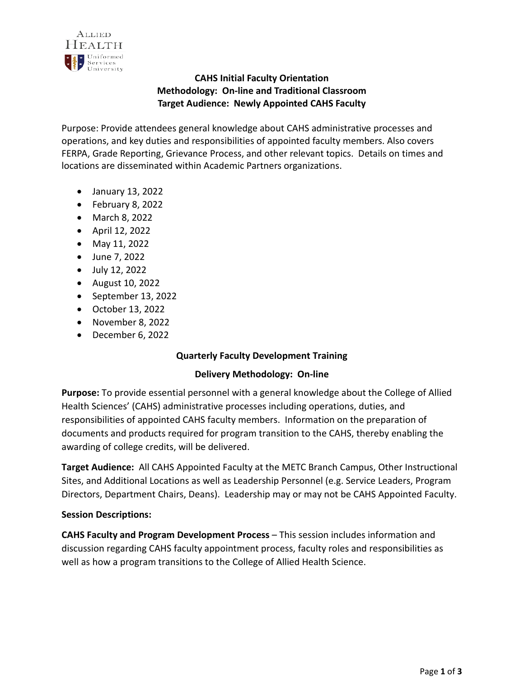

# **CAHS Initial Faculty Orientation Methodology: On-line and Traditional Classroom Target Audience: Newly Appointed CAHS Faculty**

Purpose: Provide attendees general knowledge about CAHS administrative processes and operations, and key duties and responsibilities of appointed faculty members. Also covers FERPA, Grade Reporting, Grievance Process, and other relevant topics. Details on times and locations are disseminated within Academic Partners organizations.

- January 13, 2022
- February 8, 2022
- March 8, 2022
- April 12, 2022
- May 11, 2022
- June 7, 2022
- July 12, 2022
- August 10, 2022
- September 13, 2022
- October 13, 2022
- November 8, 2022
- December 6, 2022

## **Quarterly Faculty Development Training**

#### **Delivery Methodology: On-line**

**Purpose:** To provide essential personnel with a general knowledge about the College of Allied Health Sciences' (CAHS) administrative processes including operations, duties, and responsibilities of appointed CAHS faculty members. Information on the preparation of documents and products required for program transition to the CAHS, thereby enabling the awarding of college credits, will be delivered.

**Target Audience:** All CAHS Appointed Faculty at the METC Branch Campus, Other Instructional Sites, and Additional Locations as well as Leadership Personnel (e.g. Service Leaders, Program Directors, Department Chairs, Deans). Leadership may or may not be CAHS Appointed Faculty.

#### **Session Descriptions:**

**CAHS Faculty and Program Development Process** – This session includes information and discussion regarding CAHS faculty appointment process, faculty roles and responsibilities as well as how a program transitions to the College of Allied Health Science.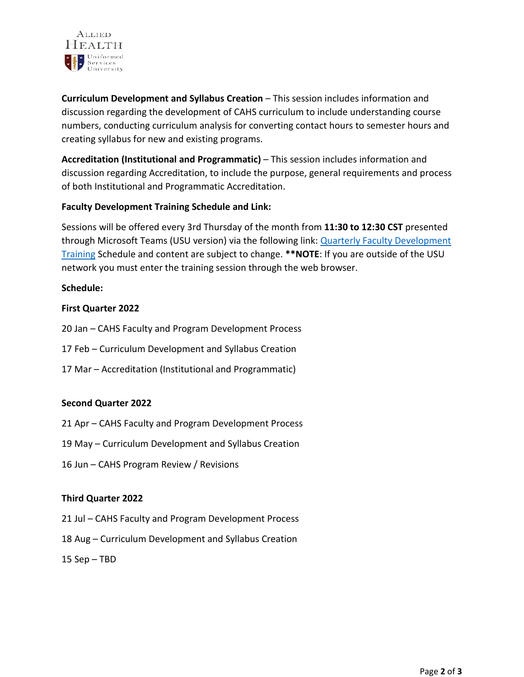

**Curriculum Development and Syllabus Creation** – This session includes information and discussion regarding the development of CAHS curriculum to include understanding course numbers, conducting curriculum analysis for converting contact hours to semester hours and creating syllabus for new and existing programs.

**Accreditation (Institutional and Programmatic)** – This session includes information and discussion regarding Accreditation, to include the purpose, general requirements and process of both Institutional and Programmatic Accreditation.

### **Faculty Development Training Schedule and Link:**

Sessions will be offered every 3rd Thursday of the month from **11:30 to 12:30 CST** presented through Microsoft Teams (USU version) via the following link: [Quarterly Faculty Development](https://www.google.com/url?q=https://teams.microsoft.com/l/meetup-join/19%253ameeting_ZGMzZmEwZDYtMWZhMy00ZjI1LWI5ZDgtMGQzMWYzMmU3ZGVh%2540thread.v2/0?context%3D%257b%2522Tid%2522%253a%2522471e8221-0089-4c4b-b372-211a5aa9e0dd%2522%252c%2522Oid%2522%253a%25226c81772d-90e9-4a33-bc13-77dbc73c677c%2522%257d&sa=D&source=calendar&ust=1641830140255182&usg=AOvVaw26ReYxVAFy-SFRm4m52PW0)  [Training](https://www.google.com/url?q=https://teams.microsoft.com/l/meetup-join/19%253ameeting_ZGMzZmEwZDYtMWZhMy00ZjI1LWI5ZDgtMGQzMWYzMmU3ZGVh%2540thread.v2/0?context%3D%257b%2522Tid%2522%253a%2522471e8221-0089-4c4b-b372-211a5aa9e0dd%2522%252c%2522Oid%2522%253a%25226c81772d-90e9-4a33-bc13-77dbc73c677c%2522%257d&sa=D&source=calendar&ust=1641830140255182&usg=AOvVaw26ReYxVAFy-SFRm4m52PW0) Schedule and content are subject to change. **\*\*NOTE**: If you are outside of the USU network you must enter the training session through the web browser.

#### **Schedule:**

#### **First Quarter 2022**

- 20 Jan CAHS Faculty and Program Development Process
- 17 Feb Curriculum Development and Syllabus Creation
- 17 Mar Accreditation (Institutional and Programmatic)

#### **Second Quarter 2022**

- 21 Apr CAHS Faculty and Program Development Process
- 19 May Curriculum Development and Syllabus Creation
- 16 Jun CAHS Program Review / Revisions

#### **Third Quarter 2022**

- 21 Jul CAHS Faculty and Program Development Process
- 18 Aug Curriculum Development and Syllabus Creation
- 15 Sep TBD